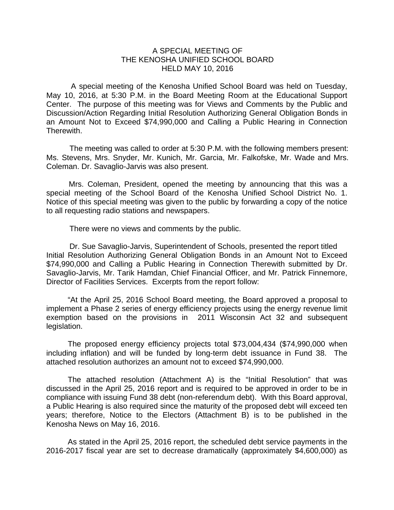## A SPECIAL MEETING OF THE KENOSHA UNIFIED SCHOOL BOARD HELD MAY 10, 2016

 A special meeting of the Kenosha Unified School Board was held on Tuesday, May 10, 2016, at 5:30 P.M. in the Board Meeting Room at the Educational Support Center. The purpose of this meeting was for Views and Comments by the Public and Discussion/Action Regarding Initial Resolution Authorizing General Obligation Bonds in an Amount Not to Exceed \$74,990,000 and Calling a Public Hearing in Connection Therewith.

The meeting was called to order at 5:30 P.M. with the following members present: Ms. Stevens, Mrs. Snyder, Mr. Kunich, Mr. Garcia, Mr. Falkofske, Mr. Wade and Mrs. Coleman. Dr. Savaglio-Jarvis was also present.

Mrs. Coleman, President, opened the meeting by announcing that this was a special meeting of the School Board of the Kenosha Unified School District No. 1. Notice of this special meeting was given to the public by forwarding a copy of the notice to all requesting radio stations and newspapers.

There were no views and comments by the public.

 Dr. Sue Savaglio-Jarvis, Superintendent of Schools, presented the report titled Initial Resolution Authorizing General Obligation Bonds in an Amount Not to Exceed \$74,990,000 and Calling a Public Hearing in Connection Therewith submitted by Dr. Savaglio-Jarvis, Mr. Tarik Hamdan, Chief Financial Officer, and Mr. Patrick Finnemore, Director of Facilities Services. Excerpts from the report follow:

 "At the April 25, 2016 School Board meeting, the Board approved a proposal to implement a Phase 2 series of energy efficiency projects using the energy revenue limit exemption based on the provisions in 2011 Wisconsin Act 32 and subsequent legislation.

 The proposed energy efficiency projects total \$73,004,434 (\$74,990,000 when including inflation) and will be funded by long-term debt issuance in Fund 38. The attached resolution authorizes an amount not to exceed \$74,990,000.

 The attached resolution (Attachment A) is the "Initial Resolution" that was discussed in the April 25, 2016 report and is required to be approved in order to be in compliance with issuing Fund 38 debt (non-referendum debt). With this Board approval, a Public Hearing is also required since the maturity of the proposed debt will exceed ten years; therefore, Notice to the Electors (Attachment B) is to be published in the Kenosha News on May 16, 2016.

 As stated in the April 25, 2016 report, the scheduled debt service payments in the 2016-2017 fiscal year are set to decrease dramatically (approximately \$4,600,000) as